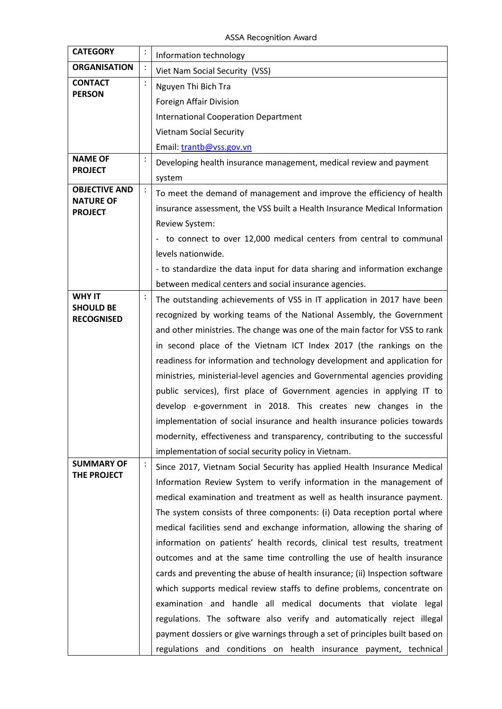**ASSA Recognition Award**

| <b>CATEGORY</b>                       | : | Information technology                                                       |
|---------------------------------------|---|------------------------------------------------------------------------------|
| <b>ORGANISATION</b>                   |   | Viet Nam Social Security (VSS)                                               |
| <b>CONTACT</b>                        |   | Nguyen Thi Bich Tra                                                          |
| <b>PERSON</b>                         |   | Foreign Affair Division                                                      |
|                                       |   | <b>International Cooperation Department</b>                                  |
|                                       |   | <b>Vietnam Social Security</b>                                               |
|                                       |   | Email: trantb@vss.gov.vn                                                     |
| <b>NAME OF</b>                        |   | Developing health insurance management, medical review and payment           |
| <b>PROJECT</b>                        |   | system                                                                       |
| <b>OBJECTIVE AND</b>                  |   | To meet the demand of management and improve the efficiency of health        |
| <b>NATURE OF</b><br><b>PROJECT</b>    |   | insurance assessment, the VSS built a Health Insurance Medical Information   |
|                                       |   | Review System:                                                               |
|                                       |   | - to connect to over 12,000 medical centers from central to communal         |
|                                       |   | levels nationwide.                                                           |
|                                       |   | - to standardize the data input for data sharing and information exchange    |
|                                       |   | between medical centers and social insurance agencies.                       |
| <b>WHY IT</b>                         |   | The outstanding achievements of VSS in IT application in 2017 have been      |
| <b>SHOULD BE</b><br><b>RECOGNISED</b> |   | recognized by working teams of the National Assembly, the Government         |
|                                       |   | and other ministries. The change was one of the main factor for VSS to rank  |
|                                       |   | in second place of the Vietnam ICT Index 2017 (the rankings on the           |
|                                       |   | readiness for information and technology development and application for     |
|                                       |   | ministries, ministerial-level agencies and Governmental agencies providing   |
|                                       |   | public services), first place of Government agencies in applying IT to       |
|                                       |   | develop e-government in 2018. This creates new changes in the                |
|                                       |   | implementation of social insurance and health insurance policies towards     |
|                                       |   | modernity, effectiveness and transparency, contributing to the successful    |
|                                       |   | implementation of social security policy in Vietnam.                         |
| <b>SUMMARY OF</b><br>THE PROJECT      |   | Since 2017, Vietnam Social Security has applied Health Insurance Medical     |
|                                       |   | Information Review System to verify information in the management of         |
|                                       |   | medical examination and treatment as well as health insurance payment.       |
|                                       |   | The system consists of three components: (i) Data reception portal where     |
|                                       |   | medical facilities send and exchange information, allowing the sharing of    |
|                                       |   | information on patients' health records, clinical test results, treatment    |
|                                       |   | outcomes and at the same time controlling the use of health insurance        |
|                                       |   | cards and preventing the abuse of health insurance; (ii) Inspection software |
|                                       |   | which supports medical review staffs to define problems, concentrate on      |
|                                       |   | examination and handle all medical documents that violate legal              |
|                                       |   | regulations. The software also verify and automatically reject illegal       |
|                                       |   | payment dossiers or give warnings through a set of principles built based on |
|                                       |   | regulations and conditions on health insurance payment, technical            |